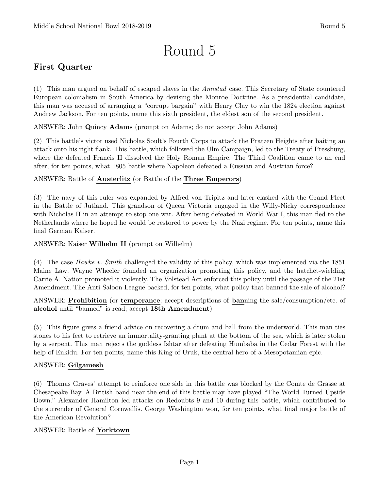# Round 5

# First Quarter

(1) This man argued on behalf of escaped slaves in the Amistad case. This Secretary of State countered European colonialism in South America by devising the Monroe Doctrine. As a presidential candidate, this man was accused of arranging a "corrupt bargain" with Henry Clay to win the 1824 election against Andrew Jackson. For ten points, name this sixth president, the eldest son of the second president.

ANSWER: John Quincy Adams (prompt on Adams; do not accept John Adams)

(2) This battle's victor used Nicholas Soult's Fourth Corps to attack the Pratzen Heights after baiting an attack onto his right flank. This battle, which followed the Ulm Campaign, led to the Treaty of Pressburg, where the defeated Francis II dissolved the Holy Roman Empire. The Third Coalition came to an end after, for ten points, what 1805 battle where Napoleon defeated a Russian and Austrian force?

ANSWER: Battle of Austerlitz (or Battle of the Three Emperors)

(3) The navy of this ruler was expanded by Alfred von Tripitz and later clashed with the Grand Fleet in the Battle of Jutland. This grandson of Queen Victoria engaged in the Willy-Nicky correspondence with Nicholas II in an attempt to stop one war. After being defeated in World War I, this man fled to the Netherlands where he hoped he would be restored to power by the Nazi regime. For ten points, name this final German Kaiser.

ANSWER: Kaiser Wilhelm II (prompt on Wilhelm)

(4) The case Hawke v. Smith challenged the validity of this policy, which was implemented via the 1851 Maine Law. Wayne Wheeler founded an organization promoting this policy, and the hatchet-wielding Carrie A. Nation promoted it violently. The Volstead Act enforced this policy until the passage of the 21st Amendment. The Anti-Saloon League backed, for ten points, what policy that banned the sale of alcohol?

ANSWER: Prohibition (or temperance; accept descriptions of banning the sale/consumption/etc. of alcohol until "banned" is read; accept 18th Amendment)

(5) This figure gives a friend advice on recovering a drum and ball from the underworld. This man ties stones to his feet to retrieve an immortality-granting plant at the bottom of the sea, which is later stolen by a serpent. This man rejects the goddess Ishtar after defeating Humbaba in the Cedar Forest with the help of Enkidu. For ten points, name this King of Uruk, the central hero of a Mesopotamian epic.

# ANSWER: Gilgamesh

(6) Thomas Graves' attempt to reinforce one side in this battle was blocked by the Comte de Grasse at Chesapeake Bay. A British band near the end of this battle may have played "The World Turned Upside Down." Alexander Hamilton led attacks on Redoubts 9 and 10 during this battle, which contributed to the surrender of General Cornwallis. George Washington won, for ten points, what final major battle of the American Revolution?

# ANSWER: Battle of Yorktown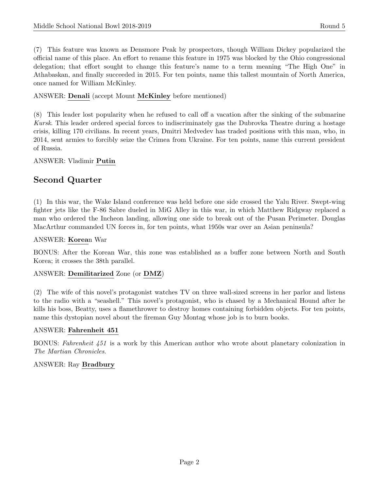(7) This feature was known as Densmore Peak by prospectors, though William Dickey popularized the official name of this place. An effort to rename this feature in 1975 was blocked by the Ohio congressional delegation; that effort sought to change this feature's name to a term meaning "The High One" in Athabaskan, and finally succeeded in 2015. For ten points, name this tallest mountain of North America, once named for William McKinley.

#### ANSWER: **Denali** (accept Mount **McKinley** before mentioned)

(8) This leader lost popularity when he refused to call off a vacation after the sinking of the submarine Kursk. This leader ordered special forces to indiscriminately gas the Dubrovka Theatre during a hostage crisis, killing 170 civilians. In recent years, Dmitri Medvedev has traded positions with this man, who, in 2014, sent armies to forcibly seize the Crimea from Ukraine. For ten points, name this current president of Russia.

#### ANSWER: Vladimir Putin

# Second Quarter

(1) In this war, the Wake Island conference was held before one side crossed the Yalu River. Swept-wing fighter jets like the F-86 Sabre dueled in MiG Alley in this war, in which Matthew Ridgway replaced a man who ordered the Incheon landing, allowing one side to break out of the Pusan Perimeter. Douglas MacArthur commanded UN forces in, for ten points, what 1950s war over an Asian peninsula?

#### ANSWER: Korean War

BONUS: After the Korean War, this zone was established as a buffer zone between North and South Korea; it crosses the 38th parallel.

#### ANSWER: Demilitarized Zone (or DMZ)

(2) The wife of this novel's protagonist watches TV on three wall-sized screens in her parlor and listens to the radio with a "seashell." This novel's protagonist, who is chased by a Mechanical Hound after he kills his boss, Beatty, uses a flamethrower to destroy homes containing forbidden objects. For ten points, name this dystopian novel about the fireman Guy Montag whose job is to burn books.

#### ANSWER: Fahrenheit 451

BONUS: Fahrenheit 451 is a work by this American author who wrote about planetary colonization in The Martian Chronicles.

#### ANSWER: Ray Bradbury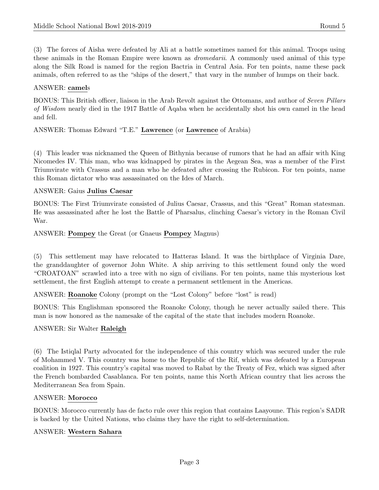(3) The forces of Aisha were defeated by Ali at a battle sometimes named for this animal. Troops using these animals in the Roman Empire were known as dromedarii. A commonly used animal of this type along the Silk Road is named for the region Bactria in Central Asia. For ten points, name these pack animals, often referred to as the "ships of the desert," that vary in the number of humps on their back.

#### ANSWER: camels

BONUS: This British officer, liaison in the Arab Revolt against the Ottomans, and author of Seven Pillars of Wisdom nearly died in the 1917 Battle of Aqaba when he accidentally shot his own camel in the head and fell.

# ANSWER: Thomas Edward "T.E." Lawrence (or Lawrence of Arabia)

(4) This leader was nicknamed the Queen of Bithynia because of rumors that he had an affair with King Nicomedes IV. This man, who was kidnapped by pirates in the Aegean Sea, was a member of the First Triumvirate with Crassus and a man who he defeated after crossing the Rubicon. For ten points, name this Roman dictator who was assassinated on the Ides of March.

#### ANSWER: Gaius Julius Caesar

BONUS: The First Triumvirate consisted of Julius Caesar, Crassus, and this "Great" Roman statesman. He was assassinated after he lost the Battle of Pharsalus, clinching Caesar's victory in the Roman Civil War.

#### ANSWER: Pompey the Great (or Gnaeus Pompey Magnus)

(5) This settlement may have relocated to Hatteras Island. It was the birthplace of Virginia Dare, the granddaughter of governor John White. A ship arriving to this settlement found only the word "CROATOAN" scrawled into a tree with no sign of civilians. For ten points, name this mysterious lost settlement, the first English attempt to create a permanent settlement in the Americas.

ANSWER: Roanoke Colony (prompt on the "Lost Colony" before "lost" is read)

BONUS: This Englishman sponsored the Roanoke Colony, though he never actually sailed there. This man is now honored as the namesake of the capital of the state that includes modern Roanoke.

# ANSWER: Sir Walter Raleigh

(6) The Istiqlal Party advocated for the independence of this country which was secured under the rule of Mohammed V. This country was home to the Republic of the Rif, which was defeated by a European coalition in 1927. This country's capital was moved to Rabat by the Treaty of Fez, which was signed after the French bombarded Casablanca. For ten points, name this North African country that lies across the Mediterranean Sea from Spain.

#### ANSWER: Morocco

BONUS: Morocco currently has de facto rule over this region that contains Laayoune. This region's SADR is backed by the United Nations, who claims they have the right to self-determination.

# ANSWER: Western Sahara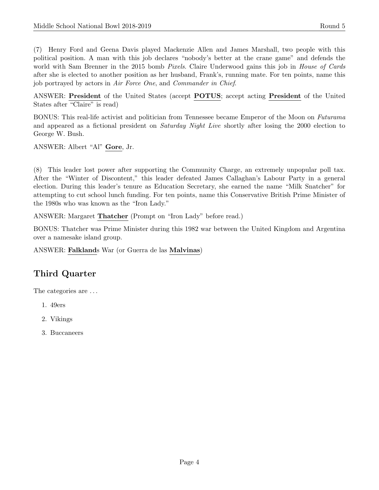(7) Henry Ford and Geena Davis played Mackenzie Allen and James Marshall, two people with this political position. A man with this job declares "nobody's better at the crane game" and defends the world with Sam Brenner in the 2015 bomb *Pixels*. Claire Underwood gains this job in *House of Cards* after she is elected to another position as her husband, Frank's, running mate. For ten points, name this job portrayed by actors in Air Force One, and Commander in Chief.

ANSWER: President of the United States (accept POTUS; accept acting President of the United States after "Claire" is read)

BONUS: This real-life activist and politician from Tennessee became Emperor of the Moon on Futurama and appeared as a fictional president on *Saturday Night Live* shortly after losing the 2000 election to George W. Bush.

ANSWER: Albert "Al" Gore, Jr.

(8) This leader lost power after supporting the Community Charge, an extremely unpopular poll tax. After the "Winter of Discontent," this leader defeated James Callaghan's Labour Party in a general election. During this leader's tenure as Education Secretary, she earned the name "Milk Snatcher" for attempting to cut school lunch funding. For ten points, name this Conservative British Prime Minister of the 1980s who was known as the "Iron Lady."

ANSWER: Margaret Thatcher (Prompt on "Iron Lady" before read.)

BONUS: Thatcher was Prime Minister during this 1982 war between the United Kingdom and Argentina over a namesake island group.

ANSWER: Falklands War (or Guerra de las Malvinas)

# Third Quarter

The categories are . . .

- 1. 49ers
- 2. Vikings
- 3. Buccaneers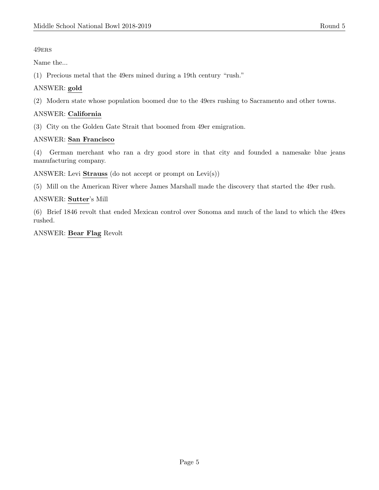#### 49ers

Name the...

(1) Precious metal that the 49ers mined during a 19th century "rush."

# ANSWER: gold

(2) Modern state whose population boomed due to the 49ers rushing to Sacramento and other towns.

# ANSWER: California

(3) City on the Golden Gate Strait that boomed from 49er emigration.

#### ANSWER: San Francisco

(4) German merchant who ran a dry good store in that city and founded a namesake blue jeans manufacturing company.

ANSWER: Levi Strauss (do not accept or prompt on Levi(s))

(5) Mill on the American River where James Marshall made the discovery that started the 49er rush.

ANSWER: Sutter's Mill

(6) Brief 1846 revolt that ended Mexican control over Sonoma and much of the land to which the 49ers rushed.

ANSWER: Bear Flag Revolt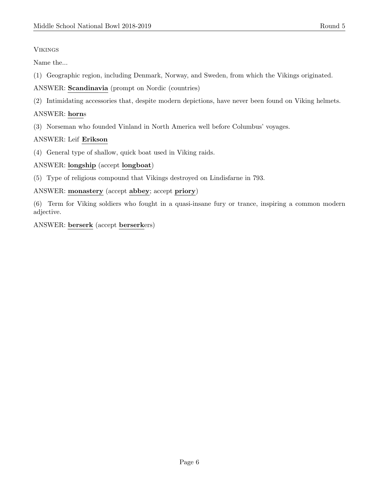#### Vikings

Name the...

- (1) Geographic region, including Denmark, Norway, and Sweden, from which the Vikings originated.
- ANSWER: Scandinavia (prompt on Nordic (countries)
- (2) Intimidating accessories that, despite modern depictions, have never been found on Viking helmets.

#### ANSWER: horns

(3) Norseman who founded Vinland in North America well before Columbus' voyages.

# ANSWER: Leif Erikson

(4) General type of shallow, quick boat used in Viking raids.

#### ANSWER: longship (accept longboat)

(5) Type of religious compound that Vikings destroyed on Lindisfarne in 793.

#### ANSWER: monastery (accept abbey; accept priory)

(6) Term for Viking soldiers who fought in a quasi-insane fury or trance, inspiring a common modern adjective.

#### ANSWER: berserk (accept berserkers)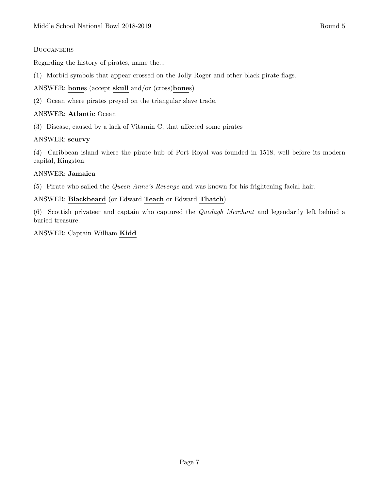#### **BUCCANEERS**

Regarding the history of pirates, name the...

- (1) Morbid symbols that appear crossed on the Jolly Roger and other black pirate flags.
- ANSWER: bones (accept skull and/or (cross)bones)
- (2) Ocean where pirates preyed on the triangular slave trade.

#### ANSWER: Atlantic Ocean

(3) Disease, caused by a lack of Vitamin C, that affected some pirates

#### ANSWER: scurvy

(4) Caribbean island where the pirate hub of Port Royal was founded in 1518, well before its modern capital, Kingston.

#### ANSWER: Jamaica

(5) Pirate who sailed the Queen Anne's Revenge and was known for his frightening facial hair.

#### ANSWER: Blackbeard (or Edward Teach or Edward Thatch)

(6) Scottish privateer and captain who captured the Quedagh Merchant and legendarily left behind a buried treasure.

ANSWER: Captain William Kidd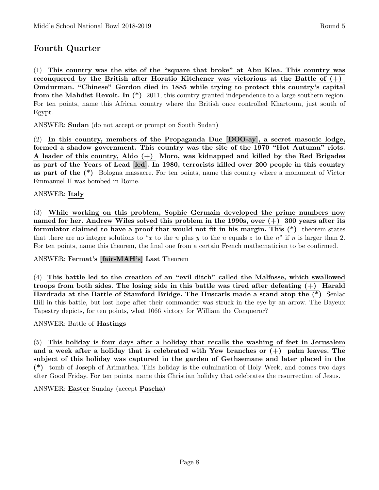# Fourth Quarter

(1) This country was the site of the "square that broke" at Abu Klea. This country was reconquered by the British after Horatio Kitchener was victorious at the Battle of  $(+)$ Omdurman. "Chinese" Gordon died in 1885 while trying to protect this country's capital from the Mahdist Revolt. In (\*) 2011, this country granted independence to a large southern region. For ten points, name this African country where the British once controlled Khartoum, just south of Egypt.

ANSWER: Sudan (do not accept or prompt on South Sudan)

(2) In this country, members of the Propaganda Due [DOO-ay], a secret masonic lodge, formed a shadow government. This country was the site of the 1970 "Hot Autumn" riots. A leader of this country, Aldo  $(+)$  Moro, was kidnapped and killed by the Red Brigades as part of the Years of Lead [led]. In 1980, terrorists killed over 200 people in this country as part of the (\*) Bologna massacre. For ten points, name this country where a monument of Victor Emmanuel II was bombed in Rome.

#### ANSWER: Italy

(3) While working on this problem, Sophie Germain developed the prime numbers now named for her. Andrew Wiles solved this problem in the 1990s, over  $(+)$  300 years after its formulator claimed to have a proof that would not fit in his margin. This (\*) theorem states that there are no integer solutions to "x to the n plus y to the n equals z to the n" if n is larger than 2. For ten points, name this theorem, the final one from a certain French mathematician to be confirmed.

#### ANSWER: Fermat's [fair-MAH's] Last Theorem

(4) This battle led to the creation of an "evil ditch" called the Malfosse, which swallowed troops from both sides. The losing side in this battle was tired after defeating (+) Harald Hardrada at the Battle of Stamford Bridge. The Huscarls made a stand atop the (\*) Senlac Hill in this battle, but lost hope after their commander was struck in the eye by an arrow. The Bayeux Tapestry depicts, for ten points, what 1066 victory for William the Conqueror?

#### ANSWER: Battle of Hastings

(5) This holiday is four days after a holiday that recalls the washing of feet in Jerusalem and a week after a holiday that is celebrated with Yew branches or  $(+)$  palm leaves. The subject of this holiday was captured in the garden of Gethsemane and later placed in the (\*) tomb of Joseph of Arimathea. This holiday is the culmination of Holy Week, and comes two days after Good Friday. For ten points, name this Christian holiday that celebrates the resurrection of Jesus.

#### ANSWER: Easter Sunday (accept Pascha)